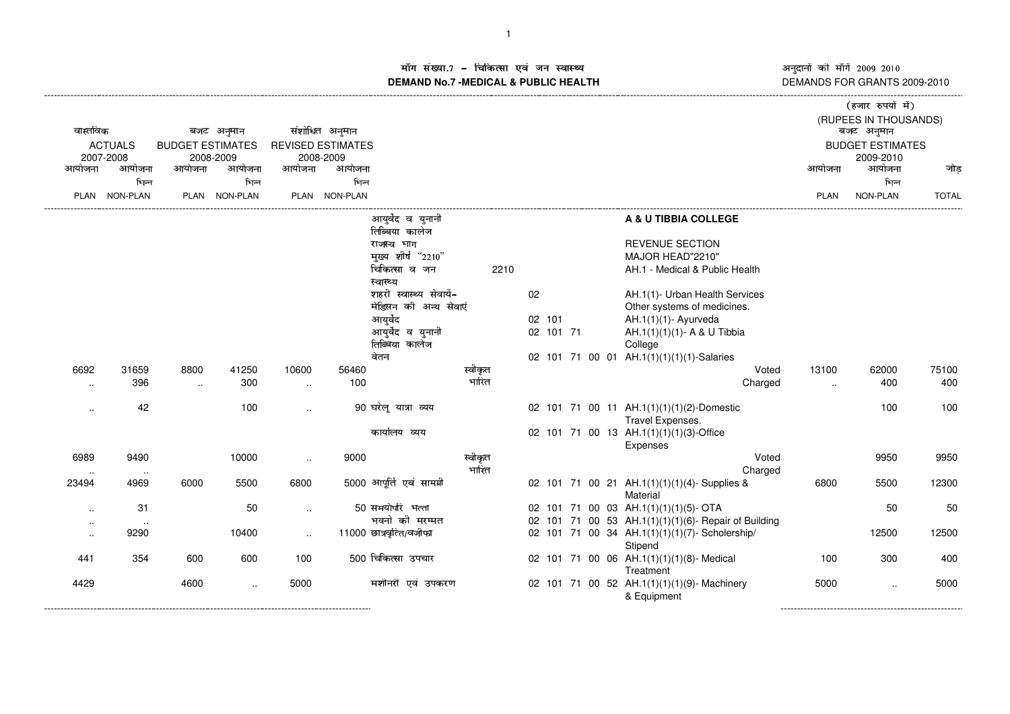अनुदानों की माँगें 2009–2010<br>DEMANDS FOR GRANTS 2009-2010 -------------------

()\*+,-./+010132

## ाँग संख्या.7 – चिकित्सा एवं जन स्वास्थ्य स्थान कर सामान्य संस्था आर्यो अ **DEMAND No.7 -MEDICAL & PUBLIC HEALTH**----------------------------------------------------------------------------------------------------------------------------------------------------------------------------------------------------------------------------------------------------------------------------

| वास्तविक<br><b>ACTUALS</b><br>2007-2008 |               | बजट अनुमान<br><b>BUDGET ESTIMATES</b> |               |           | संशोधित अनुमान                        |                                     |         |    |           |  |                                                               | (RUPEES IN THOUSANDS)<br>बजट अनुमान | <b>रस्थार रुप</b> चा न <i>)</i>      |              |
|-----------------------------------------|---------------|---------------------------------------|---------------|-----------|---------------------------------------|-------------------------------------|---------|----|-----------|--|---------------------------------------------------------------|-------------------------------------|--------------------------------------|--------------|
|                                         |               |                                       | 2008-2009     |           | <b>REVISED ESTIMATES</b><br>2008-2009 |                                     |         |    |           |  |                                                               |                                     | <b>BUDGET ESTIMATES</b><br>2009-2010 |              |
| आयोजना                                  | आयोजना        | आयोजना                                | आयोजना        | आयोजना    | आयोजना                                |                                     |         |    |           |  |                                                               | आयोजना                              | आयोजना                               | जोड          |
|                                         | भिन्न         |                                       | भिन्न         |           | भिन्न                                 |                                     |         |    |           |  |                                                               |                                     | भिन्न                                |              |
|                                         | PLAN NON-PLAN |                                       | PLAN NON-PLAN |           | PLAN NON-PLAN                         |                                     |         |    |           |  |                                                               | <b>PLAN</b>                         | NON-PLAN                             | <b>TOTAL</b> |
|                                         |               |                                       |               |           |                                       | आयुर्वेद व युनानी<br>तिब्बिया कालेज |         |    |           |  | A & U TIBBIA COLLEGE                                          |                                     |                                      |              |
|                                         |               |                                       |               |           |                                       | राजस्व भाग                          |         |    |           |  | <b>REVENUE SECTION</b>                                        |                                     |                                      |              |
|                                         |               |                                       |               |           |                                       | मुख्य शीर्ष "2210"                  |         |    |           |  | MAJOR HEAD"2210"                                              |                                     |                                      |              |
|                                         |               |                                       |               |           |                                       | चिकित्सा व जन<br>स्वास्थ्य          | 2210    |    |           |  | AH.1 - Medical & Public Health                                |                                     |                                      |              |
|                                         |               |                                       |               |           |                                       | शहरी स्वास्थ्य सेवायें-             |         | 02 |           |  | AH.1(1)- Urban Health Services                                |                                     |                                      |              |
|                                         |               |                                       |               |           |                                       | मेडिसन की अन्य सेवाएं               |         |    |           |  | Other systems of medicines.                                   |                                     |                                      |              |
|                                         |               |                                       |               |           |                                       | आयुर्वेद                            |         |    | 02 101    |  | AH.1(1)(1)- Ayurveda                                          |                                     |                                      |              |
|                                         |               |                                       |               |           |                                       | आयुर्वेद व युनानी                   |         |    | 02 101 71 |  | AH.1(1)(1)(1)- A & U Tibbia                                   |                                     |                                      |              |
|                                         |               |                                       |               |           |                                       | तिब्बिया कालेज                      |         |    |           |  | College                                                       |                                     |                                      |              |
|                                         |               |                                       |               |           |                                       | वेतन                                |         |    |           |  | 02 101 71 00 01 AH.1(1)(1)(1)(1)-Salaries                     |                                     |                                      |              |
| 6692                                    | 31659         | 8800                                  | 41250         | 10600     | 56460                                 |                                     | स्वीकृत |    |           |  | Voted                                                         | 13100                               | 62000                                | 75100        |
| $\ddot{\phantom{a}}$                    | 396           | $\sim$                                | 300           | $\ldots$  | 100                                   |                                     | भारित   |    |           |  | Charged                                                       | $\ldots$                            | 400                                  | 400          |
| $\cdot$                                 | 42            |                                       | 100           | $\ddotsc$ |                                       | 90 घरेलू यात्रा व्यय                |         |    |           |  | 02 101 71 00 11 AH.1(1)(1)(1)(2)-Domestic<br>Travel Expenses. |                                     | 100                                  | 100          |
|                                         |               |                                       |               |           |                                       | कार्यालय व्यय                       |         |    |           |  | 02 101 71 00 13 AH.1(1)(1)(1)(3)-Office<br>Expenses           |                                     |                                      |              |
| 6989                                    | 9490          |                                       | 10000         | $\ddotsc$ | 9000                                  |                                     | स्वीकृत |    |           |  | Voted                                                         |                                     | 9950                                 | 9950         |
|                                         | $\sim$        |                                       |               |           |                                       |                                     | भारित   |    |           |  | Charged                                                       |                                     |                                      |              |
| 23494                                   | 4969          | 6000                                  | 5500          | 6800      |                                       | 5000 आपूर्ति एवं सामग्री            |         |    |           |  | 02 101 71 00 21 AH.1(1)(1)(1)(4)-Supplies &<br>Material       | 6800                                | 5500                                 | 12300        |
| $\cdot$ .                               | 31            |                                       | 50            | $\cdot$ . |                                       | 50 समयोपरि भत्ता                    |         |    |           |  | 02 101 71 00 03 AH.1(1)(1)(1)(5)- OTA                         |                                     | 50                                   | 50           |
| $\sim$                                  | $\sim$        |                                       |               |           |                                       | भवनो की मरम्मत                      |         |    |           |  | 02 101 71 00 53 AH.1(1)(1)(1)(6)- Repair of Building          |                                     |                                      |              |
| $\ddotsc$                               | 9290          |                                       | 10400         | $\ddotsc$ |                                       | 11000 छात्रवृत्ति/वजीफा             |         |    |           |  | 02 101 71 00 34 AH.1(1)(1)(1)(7)- Scholership/<br>Stipend     |                                     | 12500                                | 12500        |
| 441                                     | 354           | 600                                   | 600           | 100       |                                       | 500 चिकित्सा उपचार                  |         |    |           |  | 02 101 71 00 06 AH.1(1)(1)(1)(8)- Medical<br>Treatment        | 100                                 | 300                                  | 400          |
| 4429                                    |               | 4600                                  | $\sim$        | 5000      |                                       | मशीनरी एवं उपकरण                    |         |    |           |  | 02 101 71 00 52 AH.1(1)(1)(1)(9)-Machinery<br>& Equipment     | 5000                                | $\ddotsc$                            | 5000         |